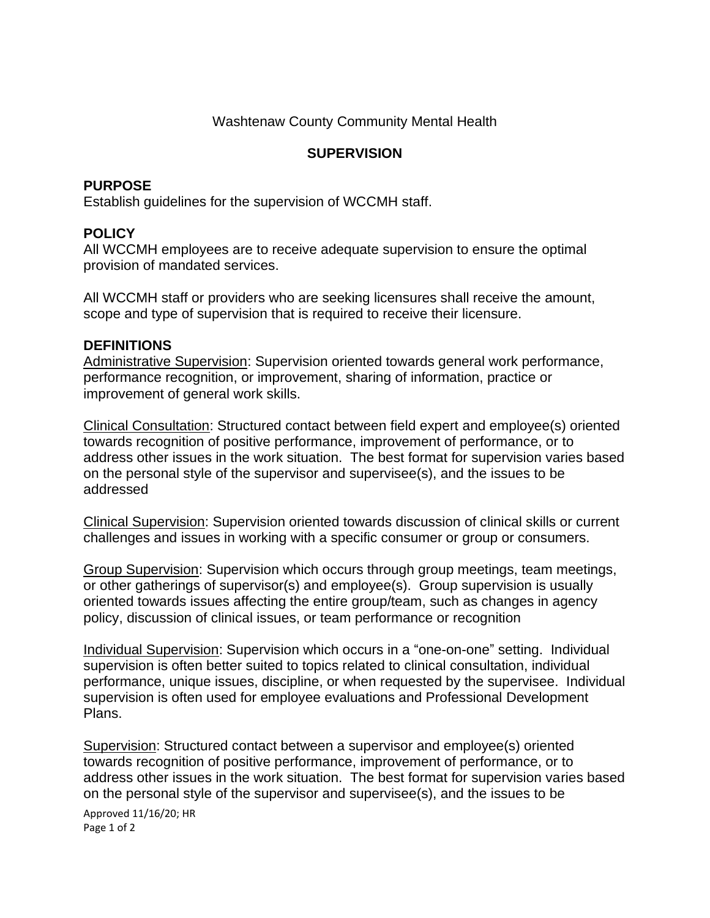## Washtenaw County Community Mental Health

# **SUPERVISION**

#### **PURPOSE**

Establish guidelines for the supervision of WCCMH staff.

## **POLICY**

All WCCMH employees are to receive adequate supervision to ensure the optimal provision of mandated services.

All WCCMH staff or providers who are seeking licensures shall receive the amount, scope and type of supervision that is required to receive their licensure.

#### **DEFINITIONS**

Administrative Supervision: Supervision oriented towards general work performance, performance recognition, or improvement, sharing of information, practice or improvement of general work skills.

Clinical Consultation: Structured contact between field expert and employee(s) oriented towards recognition of positive performance, improvement of performance, or to address other issues in the work situation. The best format for supervision varies based on the personal style of the supervisor and supervisee(s), and the issues to be addressed

Clinical Supervision: Supervision oriented towards discussion of clinical skills or current challenges and issues in working with a specific consumer or group or consumers.

Group Supervision: Supervision which occurs through group meetings, team meetings, or other gatherings of supervisor(s) and employee(s). Group supervision is usually oriented towards issues affecting the entire group/team, such as changes in agency policy, discussion of clinical issues, or team performance or recognition

Individual Supervision: Supervision which occurs in a "one-on-one" setting. Individual supervision is often better suited to topics related to clinical consultation, individual performance, unique issues, discipline, or when requested by the supervisee. Individual supervision is often used for employee evaluations and Professional Development Plans.

Supervision: Structured contact between a supervisor and employee(s) oriented towards recognition of positive performance, improvement of performance, or to address other issues in the work situation. The best format for supervision varies based on the personal style of the supervisor and supervisee(s), and the issues to be

Approved 11/16/20; HR Page 1 of 2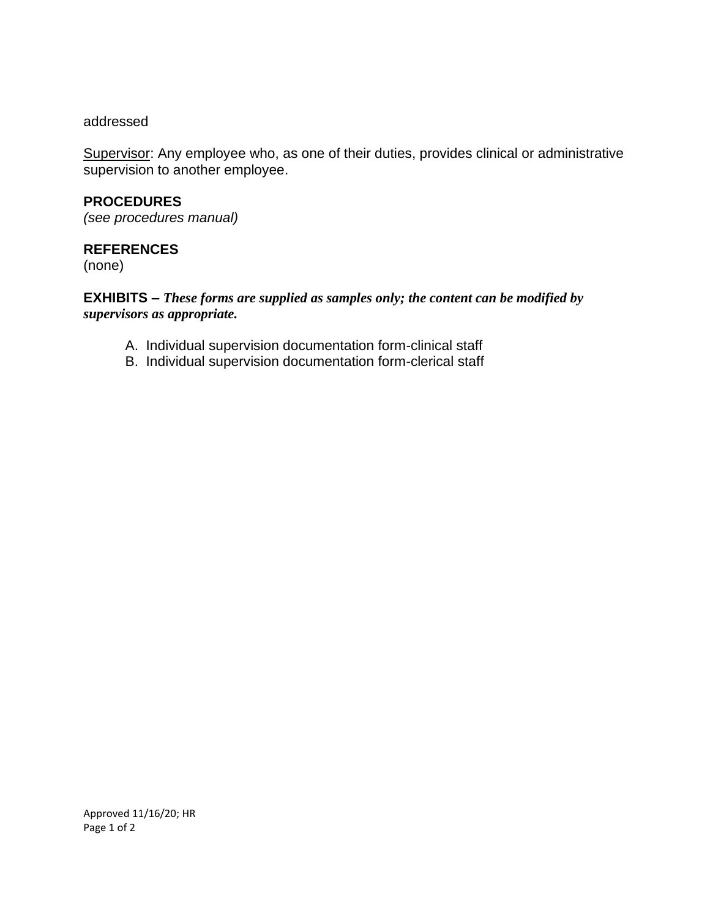#### addressed

Supervisor: Any employee who, as one of their duties, provides clinical or administrative supervision to another employee.

## **PROCEDURES**

*(see procedures manual)*

### **REFERENCES**

(none)

### **EXHIBITS –** *These forms are supplied as samples only; the content can be modified by supervisors as appropriate.*

- A. Individual supervision documentation form-clinical staff
- B. Individual supervision documentation form-clerical staff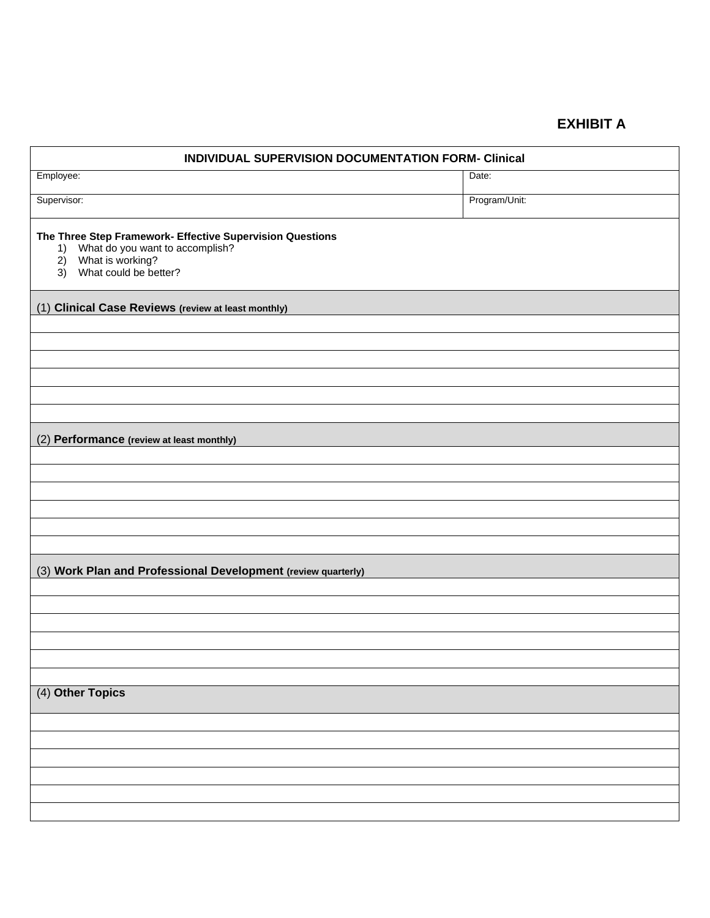# **EXHIBIT A**

| <b>INDIVIDUAL SUPERVISION DOCUMENTATION FORM- Clinical</b>                                                                                            |               |  |  |  |  |
|-------------------------------------------------------------------------------------------------------------------------------------------------------|---------------|--|--|--|--|
| Employee:                                                                                                                                             | Date:         |  |  |  |  |
| Supervisor:                                                                                                                                           | Program/Unit: |  |  |  |  |
| The Three Step Framework- Effective Supervision Questions<br>What do you want to accomplish?<br>1)<br>2) What is working?<br>3) What could be better? |               |  |  |  |  |
| (1) Clinical Case Reviews (review at least monthly)                                                                                                   |               |  |  |  |  |
|                                                                                                                                                       |               |  |  |  |  |
|                                                                                                                                                       |               |  |  |  |  |
|                                                                                                                                                       |               |  |  |  |  |
|                                                                                                                                                       |               |  |  |  |  |
|                                                                                                                                                       |               |  |  |  |  |
| (2) Performance (review at least monthly)                                                                                                             |               |  |  |  |  |
|                                                                                                                                                       |               |  |  |  |  |
|                                                                                                                                                       |               |  |  |  |  |
|                                                                                                                                                       |               |  |  |  |  |
|                                                                                                                                                       |               |  |  |  |  |
|                                                                                                                                                       |               |  |  |  |  |
| (3) Work Plan and Professional Development (review quarterly)                                                                                         |               |  |  |  |  |
|                                                                                                                                                       |               |  |  |  |  |
|                                                                                                                                                       |               |  |  |  |  |
|                                                                                                                                                       |               |  |  |  |  |
|                                                                                                                                                       |               |  |  |  |  |
|                                                                                                                                                       |               |  |  |  |  |
| (4) Other Topics                                                                                                                                      |               |  |  |  |  |
|                                                                                                                                                       |               |  |  |  |  |
|                                                                                                                                                       |               |  |  |  |  |
|                                                                                                                                                       |               |  |  |  |  |
|                                                                                                                                                       |               |  |  |  |  |
|                                                                                                                                                       |               |  |  |  |  |
|                                                                                                                                                       |               |  |  |  |  |

- I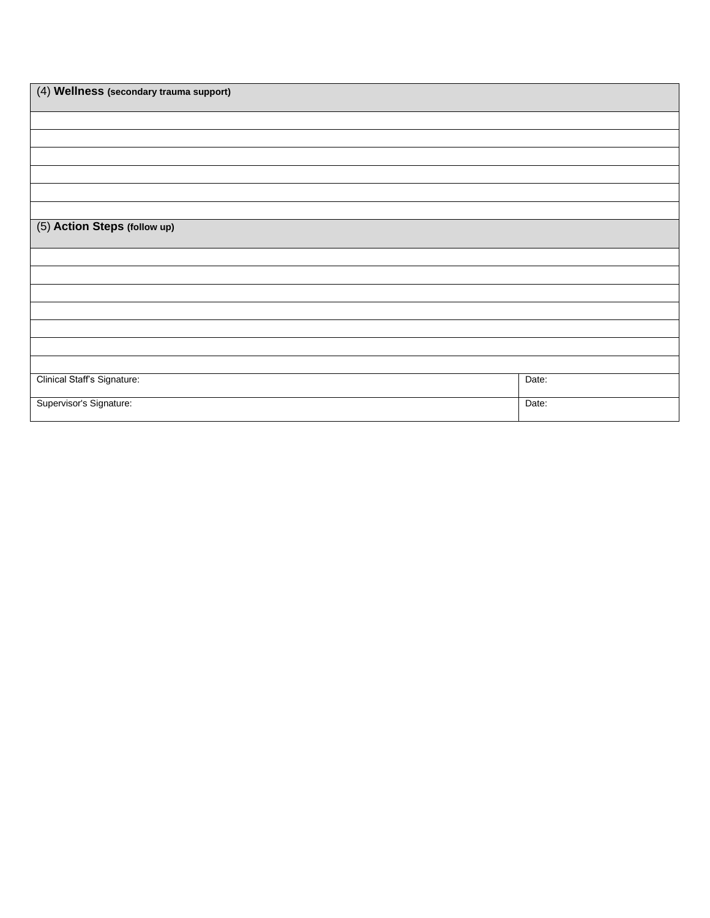| (4) Wellness (secondary trauma support) |       |
|-----------------------------------------|-------|
|                                         |       |
|                                         |       |
|                                         |       |
|                                         |       |
|                                         |       |
|                                         |       |
| (5) Action Steps (follow up)            |       |
|                                         |       |
|                                         |       |
|                                         |       |
|                                         |       |
|                                         |       |
|                                         |       |
|                                         |       |
| Clinical Staff's Signature:             | Date: |
| Supervisor's Signature:                 | Date: |